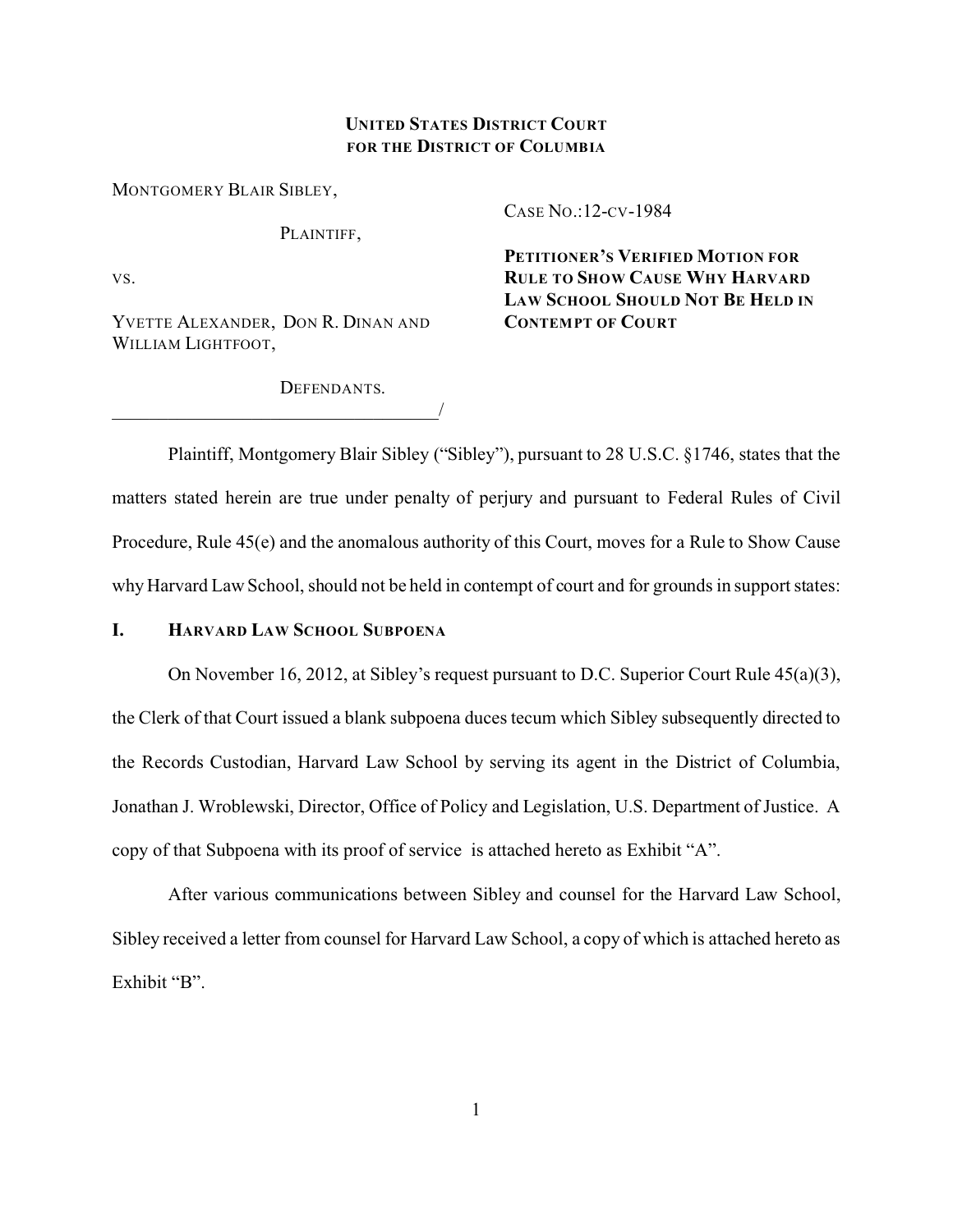## **UNITED STATES DISTRICT COURT FOR THE DISTRICT OF COLUMBIA**

MONTGOMERY BLAIR SIBLEY,

PLAINTIFF.

VS.

YVETTE ALEXANDER, DON R. DINAN AND WILLIAM LIGHTFOOT.

\_\_\_\_\_\_\_\_\_\_\_\_\_\_\_\_\_\_\_\_\_\_\_\_\_\_\_\_\_\_\_\_\_\_\_/

CASE NO.:12-CV-1984

**PETITIONER'S VERIFIED MOTION FOR RULE TO SHOW CAUSE WHY HARVARD LAW SCHOOL SHOULD NOT BE HELD IN CONTEMPT OF COURT**

DEFENDANTS.

Plaintiff, Montgomery Blair Sibley ("Sibley"), pursuant to 28 U.S.C. §1746, states that the matters stated herein are true under penalty of perjury and pursuant to Federal Rules of Civil Procedure, Rule 45(e) and the anomalous authority of this Court, moves for a Rule to Show Cause why Harvard Law School, should not be held in contempt of court and for grounds in support states:

### **I. HARVARD LAW SCHOOL SUBPOENA**

On November 16, 2012, at Sibley's request pursuant to D.C. Superior Court Rule 45(a)(3), the Clerk of that Court issued a blank subpoena duces tecum which Sibley subsequently directed to the Records Custodian, Harvard Law School by serving its agent in the District of Columbia, Jonathan J. Wroblewski, Director, Office of Policy and Legislation, U.S. Department of Justice. A copy of that Subpoena with its proof of service is attached hereto as Exhibit "A".

After various communications between Sibley and counsel for the Harvard Law School, Sibley received a letter from counsel for Harvard Law School, a copy of which is attached hereto as Exhibit "B".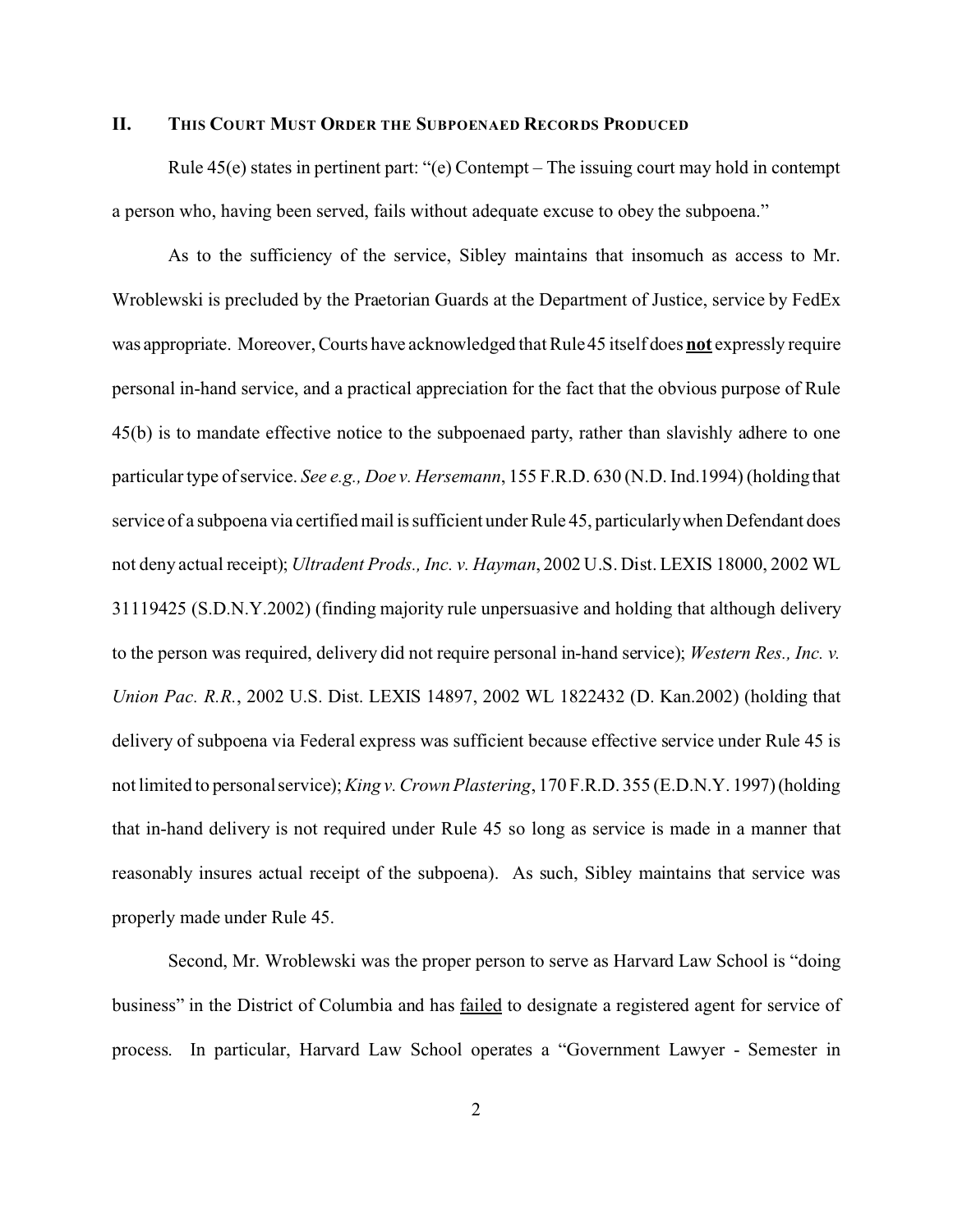### **II. THIS COURT MUST ORDER THE SUBPOENAED RECORDS PRODUCED**

Rule 45(e) states in pertinent part: "(e) Contempt – The issuing court may hold in contempt a person who, having been served, fails without adequate excuse to obey the subpoena."

As to the sufficiency of the service, Sibley maintains that insomuch as access to Mr. Wroblewski is precluded by the Praetorian Guards at the Department of Justice, service by FedEx was appropriate. Moreover, Courts have acknowledged that Rule 45 itself does **not** expressly require personal in-hand service, and a practical appreciation for the fact that the obvious purpose of Rule 45(b) is to mandate effective notice to the subpoenaed party, rather than slavishly adhere to one particular type of service. *See e.g., Doe v. Hersemann*, 155 F.R.D. 630 (N.D. Ind.1994) (holding that service of a subpoena via certified mail is sufficient under Rule 45, particularly when Defendant does not deny actual receipt); *Ultradent Prods., Inc. v. Hayman*, 2002 U.S. Dist. LEXIS 18000, 2002 WL 31119425 (S.D.N.Y.2002) (finding majority rule unpersuasive and holding that although delivery to the person was required, delivery did not require personal in-hand service); *Western Res., Inc. v. Union Pac. R.R.*, 2002 U.S. Dist. LEXIS 14897, 2002 WL 1822432 (D. Kan.2002) (holding that delivery of subpoena via Federal express was sufficient because effective service under Rule 45 is not limited to personal service); *King v. Crown Plastering*, 170 F.R.D. 355 (E.D.N.Y. 1997)(holding that in-hand delivery is not required under Rule 45 so long as service is made in a manner that reasonably insures actual receipt of the subpoena). As such, Sibley maintains that service was properly made under Rule 45.

Second, Mr. Wroblewski was the proper person to serve as Harvard Law School is "doing business" in the District of Columbia and has failed to designate a registered agent for service of process. In particular, Harvard Law School operates a "Government Lawyer - Semester in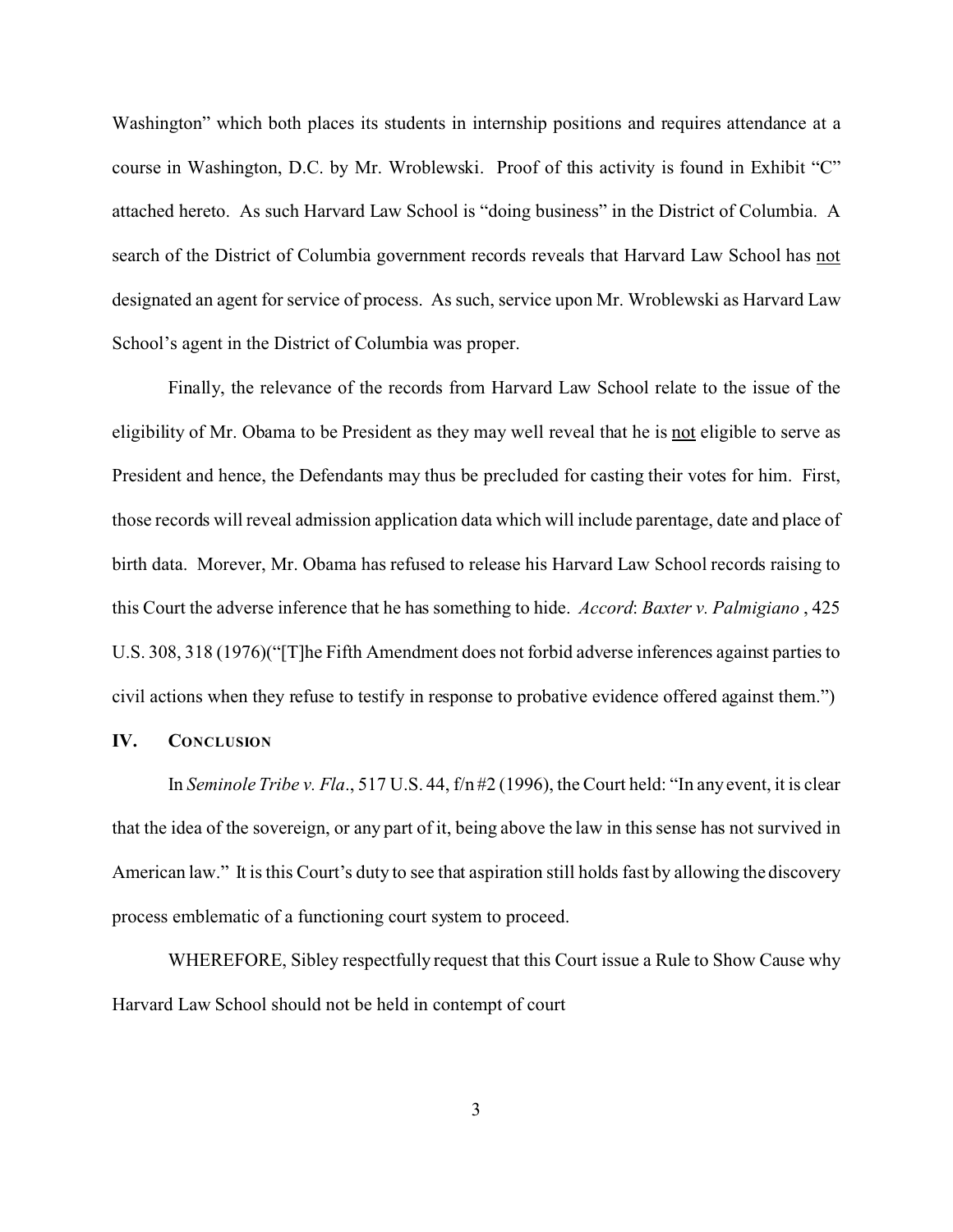Washington" which both places its students in internship positions and requires attendance at a course in Washington, D.C. by Mr. Wroblewski. Proof of this activity is found in Exhibit "C" attached hereto. As such Harvard Law School is "doing business" in the District of Columbia. A search of the District of Columbia government records reveals that Harvard Law School has not designated an agent for service of process. As such, service upon Mr. Wroblewski as Harvard Law School's agent in the District of Columbia was proper.

Finally, the relevance of the records from Harvard Law School relate to the issue of the eligibility of Mr. Obama to be President as they may well reveal that he is not eligible to serve as President and hence, the Defendants may thus be precluded for casting their votes for him. First, those records will reveal admission application data which will include parentage, date and place of birth data. Morever, Mr. Obama has refused to release his Harvard Law School records raising to this Court the adverse inference that he has something to hide. *Accord*: *Baxter v. Palmigiano* , 425 U.S. 308, 318 (1976)("[T]he Fifth Amendment does not forbid adverse inferences against parties to civil actions when they refuse to testify in response to probative evidence offered against them.")

#### **IV. CONCLUSION**

In *Seminole Tribe v. Fla*., 517 U.S. 44, f/n #2 (1996), the Court held: "In any event, it is clear that the idea of the sovereign, or any part of it, being above the law in this sense has not survived in American law." It is this Court's duty to see that aspiration still holds fast by allowing the discovery process emblematic of a functioning court system to proceed.

WHEREFORE, Sibley respectfully request that this Court issue a Rule to Show Cause why Harvard Law School should not be held in contempt of court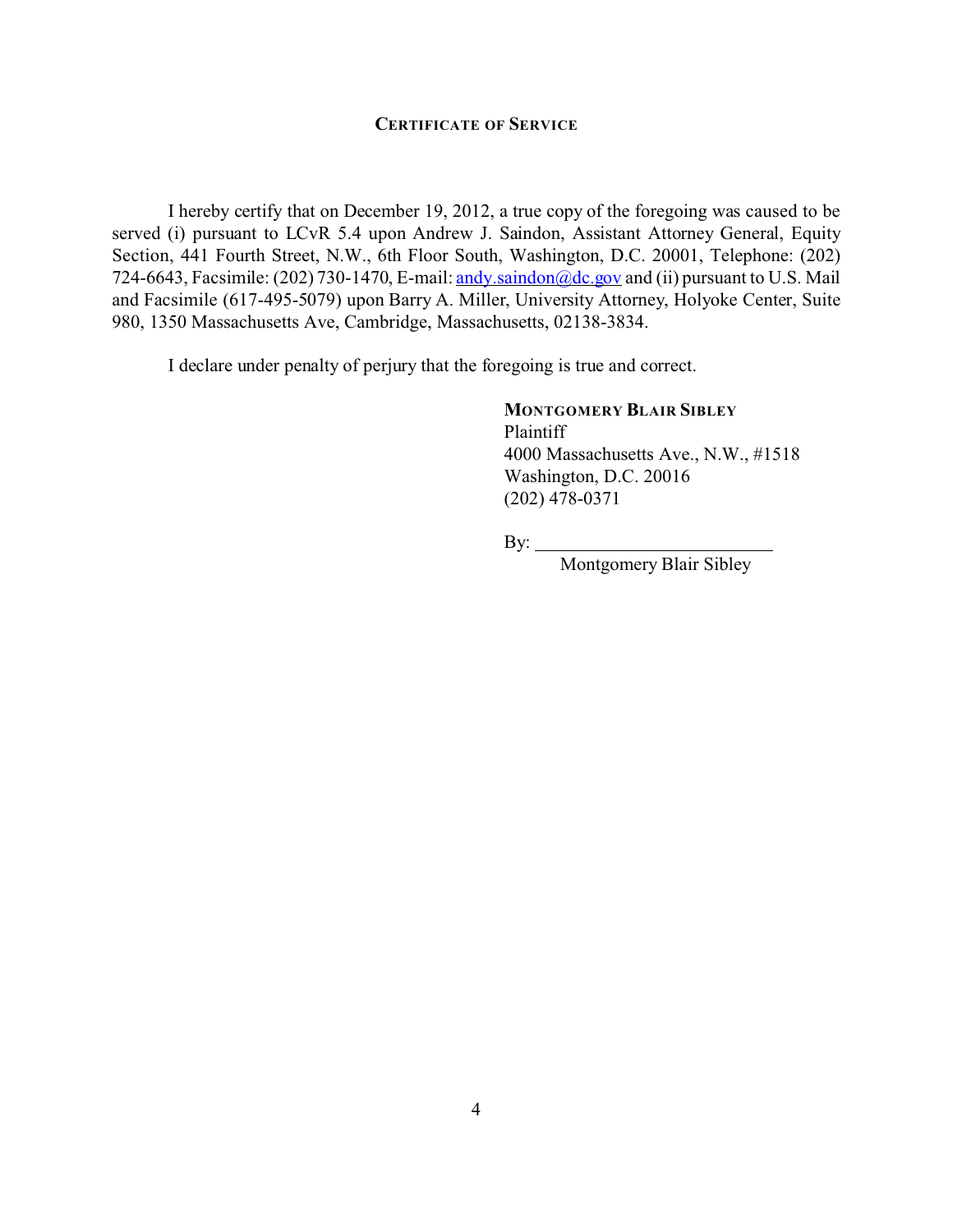### **CERTIFICATE OF SERVICE**

I hereby certify that on December 19, 2012, a true copy of the foregoing was caused to be served (i) pursuant to LCvR 5.4 upon Andrew J. Saindon, Assistant Attorney General, Equity Section, 441 Fourth Street, N.W., 6th Floor South, Washington, D.C. 20001, Telephone: (202) 724-6643, Facsimile: (202) 730-1470, E-mail: [andy.saindon@dc.gov](mailto:andy.saindon@dc.gov.) and (ii) pursuant to U.S. Mail and Facsimile (617-495-5079) upon Barry A. Miller, University Attorney, Holyoke Center, Suite 980, 1350 Massachusetts Ave, Cambridge, Massachusetts, 02138-3834.

I declare under penalty of perjury that the foregoing is true and correct.

**MONTGOMERY BLAIR SIBLEY** Plaintiff 4000 Massachusetts Ave., N.W., #1518 Washington, D.C. 20016 (202) 478-0371

By:

Montgomery Blair Sibley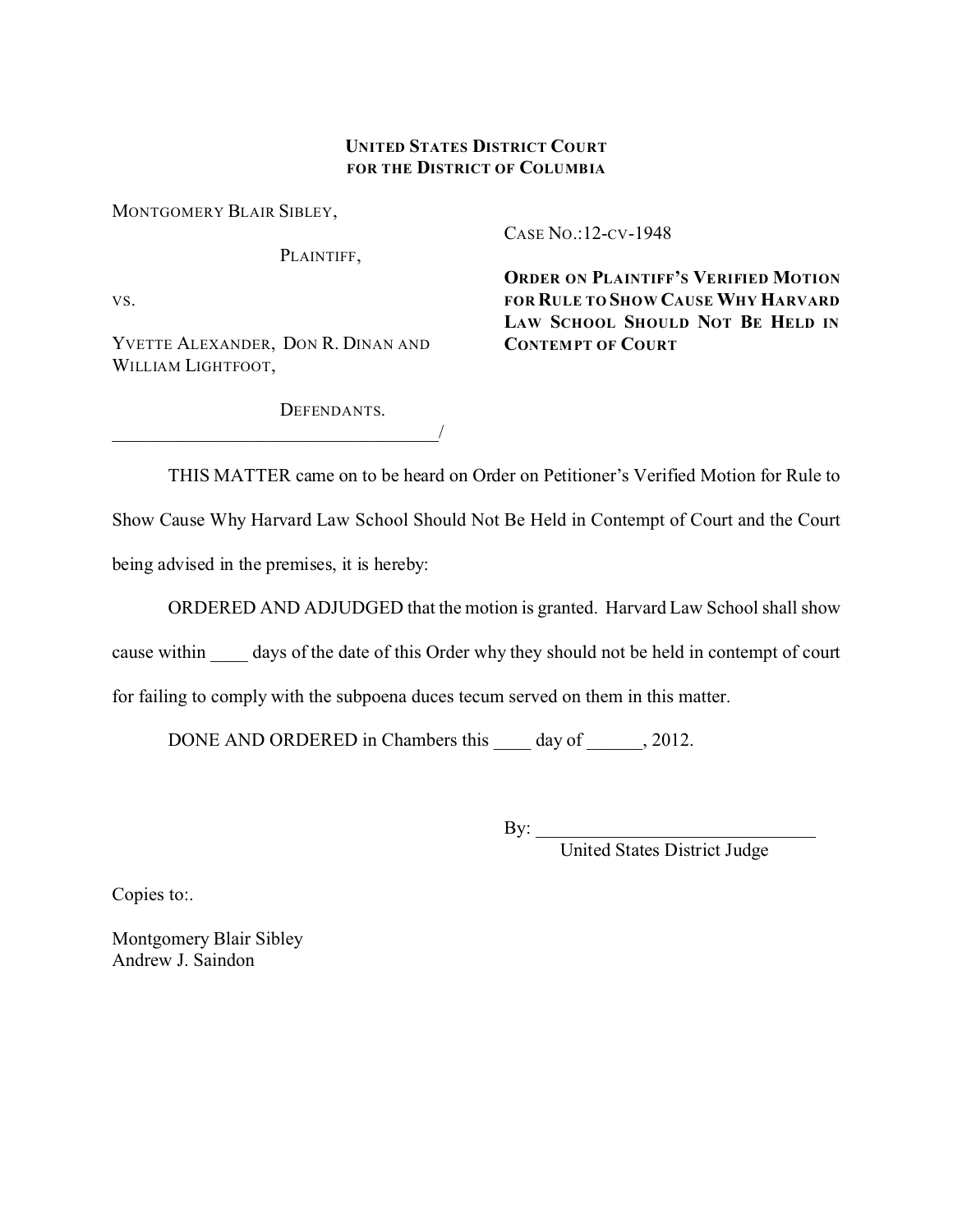# **UNITED STATES DISTRICT COURT FOR THE DISTRICT OF COLUMBIA**

MONTGOMERY BLAIR SIBLEY,

PLAINTIFF,

VS.

YVETTE ALEXANDER, DON R. DINAN AND WILLIAM LIGHTFOOT,

\_\_\_\_\_\_\_\_\_\_\_\_\_\_\_\_\_\_\_\_\_\_\_\_\_\_\_\_\_\_\_\_\_\_\_/

CASE NO.:12-CV-1948

**ORDER ON PLAINTIFF'S VERIFIED MOTION FOR RULE TO SHOW CAUSE WHY HARVARD LAW SCHOOL SHOULD NOT BE HELD IN CONTEMPT OF COURT**

DEFENDANTS.

THIS MATTER came on to be heard on Order on Petitioner's Verified Motion for Rule to

Show Cause Why Harvard Law School Should Not Be Held in Contempt of Court and the Court being advised in the premises, it is hereby:

ORDERED AND ADJUDGED that the motion is granted. Harvard Law School shall show

cause within days of the date of this Order why they should not be held in contempt of court

for failing to comply with the subpoena duces tecum served on them in this matter.

DONE AND ORDERED in Chambers this \_\_\_\_\_ day of \_\_\_\_\_\_, 2012.

By: \_\_\_\_\_\_\_\_\_\_\_\_\_\_\_\_\_\_\_\_\_\_\_\_\_\_\_\_\_\_

United States District Judge

Copies to:.

Montgomery Blair Sibley Andrew J. Saindon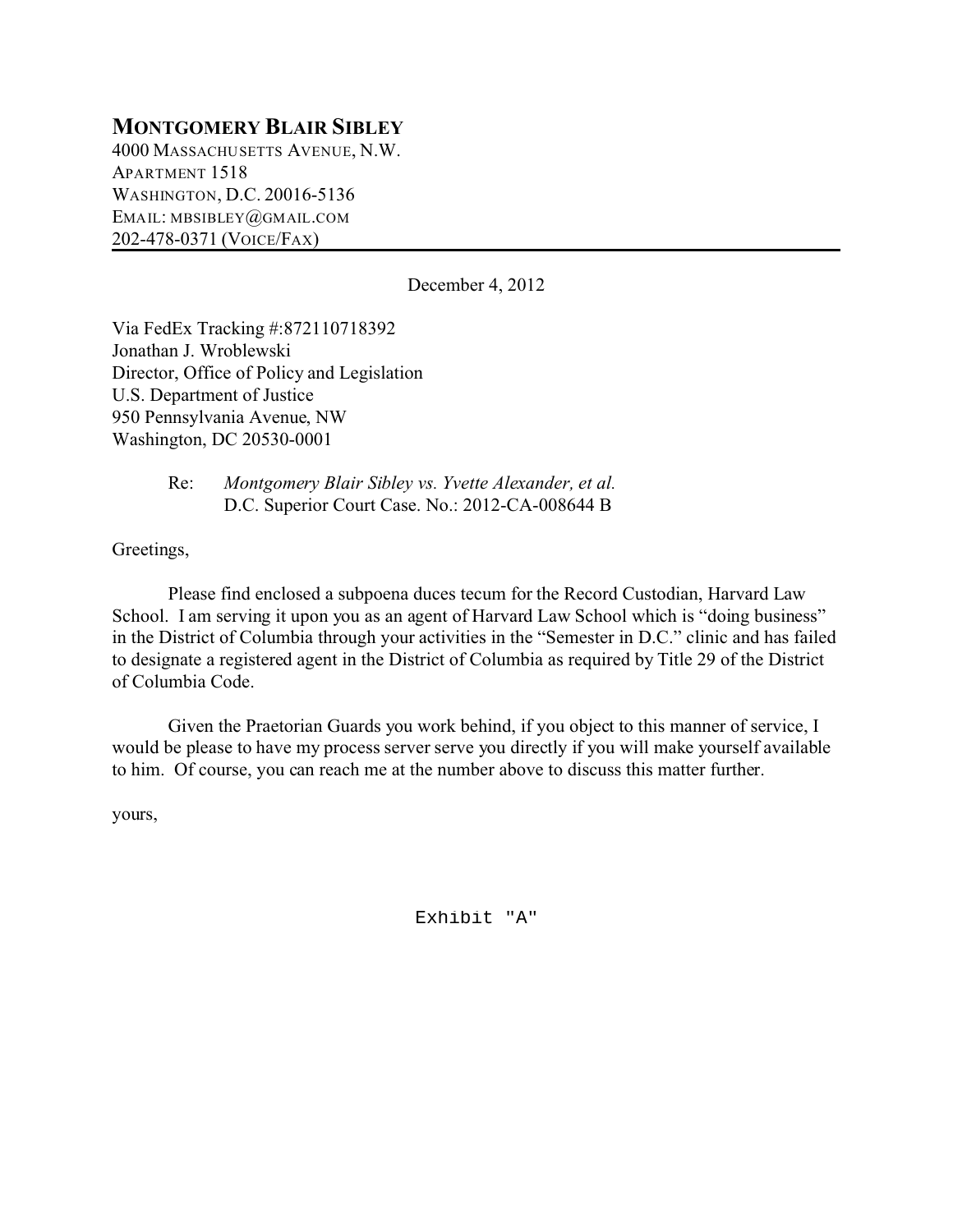# **MONTGOMERY BLAIR SIBLEY**

4000 MASSACHUSETTS AVENUE, N.W. APARTMENT 1518 WASHINGTON, D.C. 20016-5136 EMAIL: MBSIBLEY@GMAIL.COM 202-478-0371 (VOICE/FAX)

December 4, 2012

Via FedEx Tracking #:872110718392 Jonathan J. Wroblewski Director, Office of Policy and Legislation U.S. Department of Justice 950 Pennsylvania Avenue, NW Washington, DC 20530-0001

> Re: *Montgomery Blair Sibley vs. Yvette Alexander, et al.* D.C. Superior Court Case. No.: 2012-CA-008644 B

Greetings,

Please find enclosed a subpoena duces tecum for the Record Custodian, Harvard Law School. I am serving it upon you as an agent of Harvard Law School which is "doing business" in the District of Columbia through your activities in the "Semester in D.C." clinic and has failed to designate a registered agent in the District of Columbia as required by Title 29 of the District of Columbia Code.

Given the Praetorian Guards you work behind, if you object to this manner of service, I would be please to have my process server serve you directly if you will make yourself available to him. Of course, you can reach me at the number above to discuss this matter further.

yours,

Exhibit "A"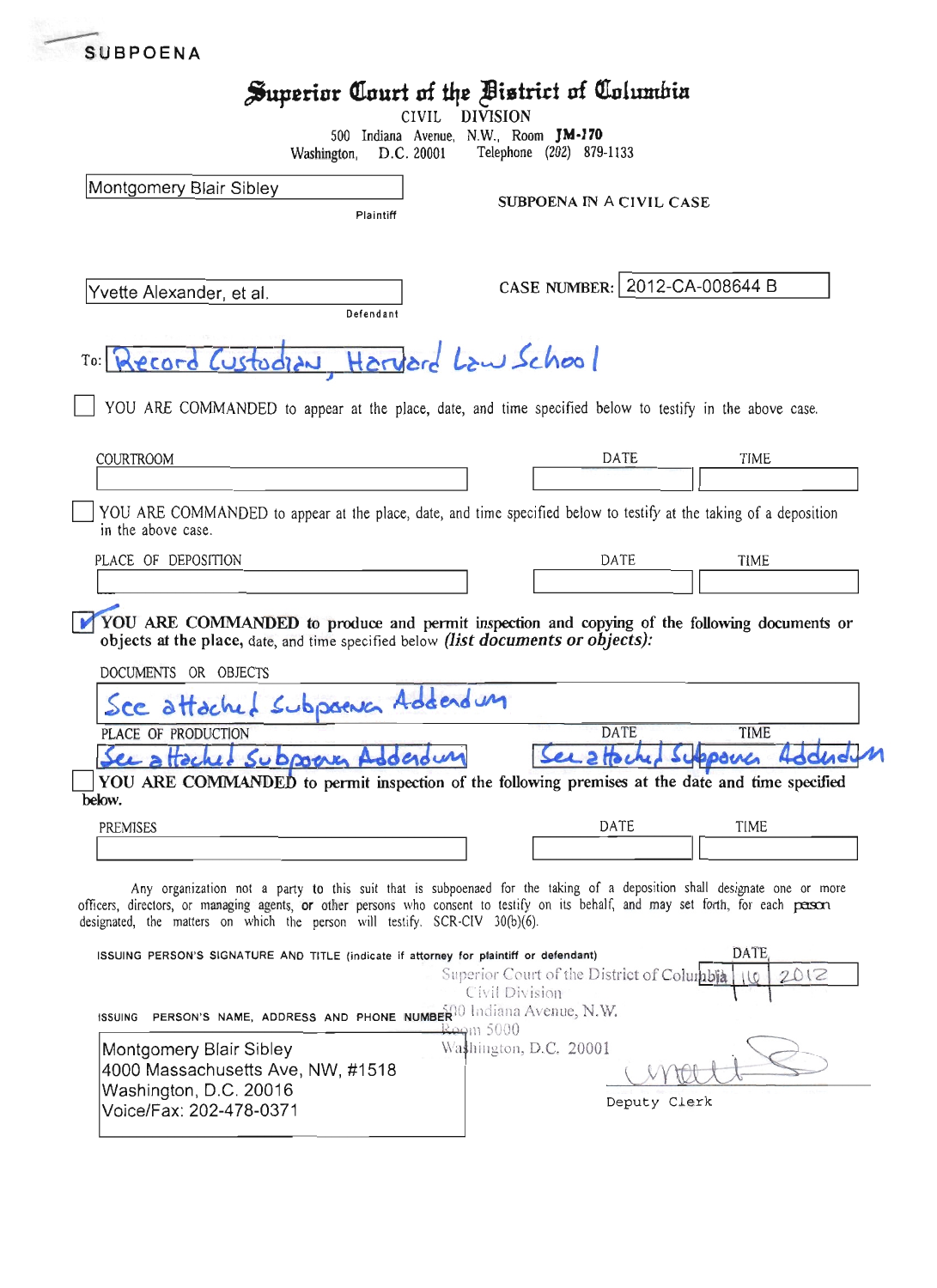|                                                                                                                                                                                                                                                                                                                                             | Superior Court of the Bistrict of Columbia                   |                            |
|---------------------------------------------------------------------------------------------------------------------------------------------------------------------------------------------------------------------------------------------------------------------------------------------------------------------------------------------|--------------------------------------------------------------|----------------------------|
| CIVIL                                                                                                                                                                                                                                                                                                                                       | <b>DIVISION</b><br>500 Indiana Avenue, N.W., Room JM-170     |                            |
| Washington,<br>D.C. 20001                                                                                                                                                                                                                                                                                                                   | Telephone (202) 879-1133                                     |                            |
| Montgomery Blair Sibley                                                                                                                                                                                                                                                                                                                     |                                                              |                            |
| Plaintiff                                                                                                                                                                                                                                                                                                                                   | SUBPOENA IN A CIVIL CASE                                     |                            |
|                                                                                                                                                                                                                                                                                                                                             |                                                              |                            |
| Yvette Alexander, et al.<br>Defendant                                                                                                                                                                                                                                                                                                       | CASE NUMBER: 2012-CA-008644 B                                |                            |
| TO: Record Custodian, Harvard Law School                                                                                                                                                                                                                                                                                                    |                                                              |                            |
| YOU ARE COMMANDED to appear at the place, date, and time specified below to testify in the above case.                                                                                                                                                                                                                                      |                                                              |                            |
| COURTROOM                                                                                                                                                                                                                                                                                                                                   | DATE                                                         | TIME                       |
|                                                                                                                                                                                                                                                                                                                                             |                                                              |                            |
| YOU ARE COMMANDED to appear at the place, date, and time specified below to testify at the taking of a deposition<br>in the above case.                                                                                                                                                                                                     |                                                              |                            |
| PLACE OF DEPOSITION                                                                                                                                                                                                                                                                                                                         | DATE                                                         | <b>TIME</b>                |
|                                                                                                                                                                                                                                                                                                                                             |                                                              |                            |
| YOU ARE COMMANDED to produce and permit inspection and copying of the following documents or<br>objects at the place, date, and time specified below (list documents or objects):<br>DOCUMENTS OR OBJECTS                                                                                                                                   |                                                              |                            |
|                                                                                                                                                                                                                                                                                                                                             |                                                              |                            |
| Sce attached Subpoent Addendum                                                                                                                                                                                                                                                                                                              |                                                              |                            |
| PLACE OF PRODUCTION                                                                                                                                                                                                                                                                                                                         | DATE                                                         | TIME                       |
| See affached Subport Addedu                                                                                                                                                                                                                                                                                                                 | $2$ the                                                      | spone                      |
| YOU ARE COMMANDED to permit inspection of the following premises at the date and time specified                                                                                                                                                                                                                                             |                                                              |                            |
| below.                                                                                                                                                                                                                                                                                                                                      |                                                              |                            |
| <b>PREMISES</b>                                                                                                                                                                                                                                                                                                                             | DATE                                                         | TIME                       |
| Any organization not a party to this suit that is subpoenaed for the taking of a deposition shall designate one or more<br>officers, directors, or managing agents, or other persons who consent to testify on its behalf, and may set forth, for each pason<br>designated, the matters on which the person will testify. SCR-CIV 30(b)(6). |                                                              |                            |
| ISSUING PERSON'S SIGNATURE AND TITLE (indicate if attorney for plaintiff or defendant)                                                                                                                                                                                                                                                      | Superior Court of the District of Columbia<br>Civil Division | <b>DATE</b><br>2012<br>110 |
| <b>PERSON'S NAME, ADDRESS AND PHONE NUMBER</b> 00 Indiana Avenue, N.W.<br><b>ISSUING</b>                                                                                                                                                                                                                                                    |                                                              |                            |
| Montgomery Blair Sibley                                                                                                                                                                                                                                                                                                                     | Rogm 5000<br>Washington, D.C. 20001                          |                            |
|                                                                                                                                                                                                                                                                                                                                             |                                                              |                            |
| 4000 Massachusetts Ave, NW, #1518<br>Washington, D.C. 20016<br>Voice/Fax: 202-478-0371                                                                                                                                                                                                                                                      | Deputy Clerk                                                 |                            |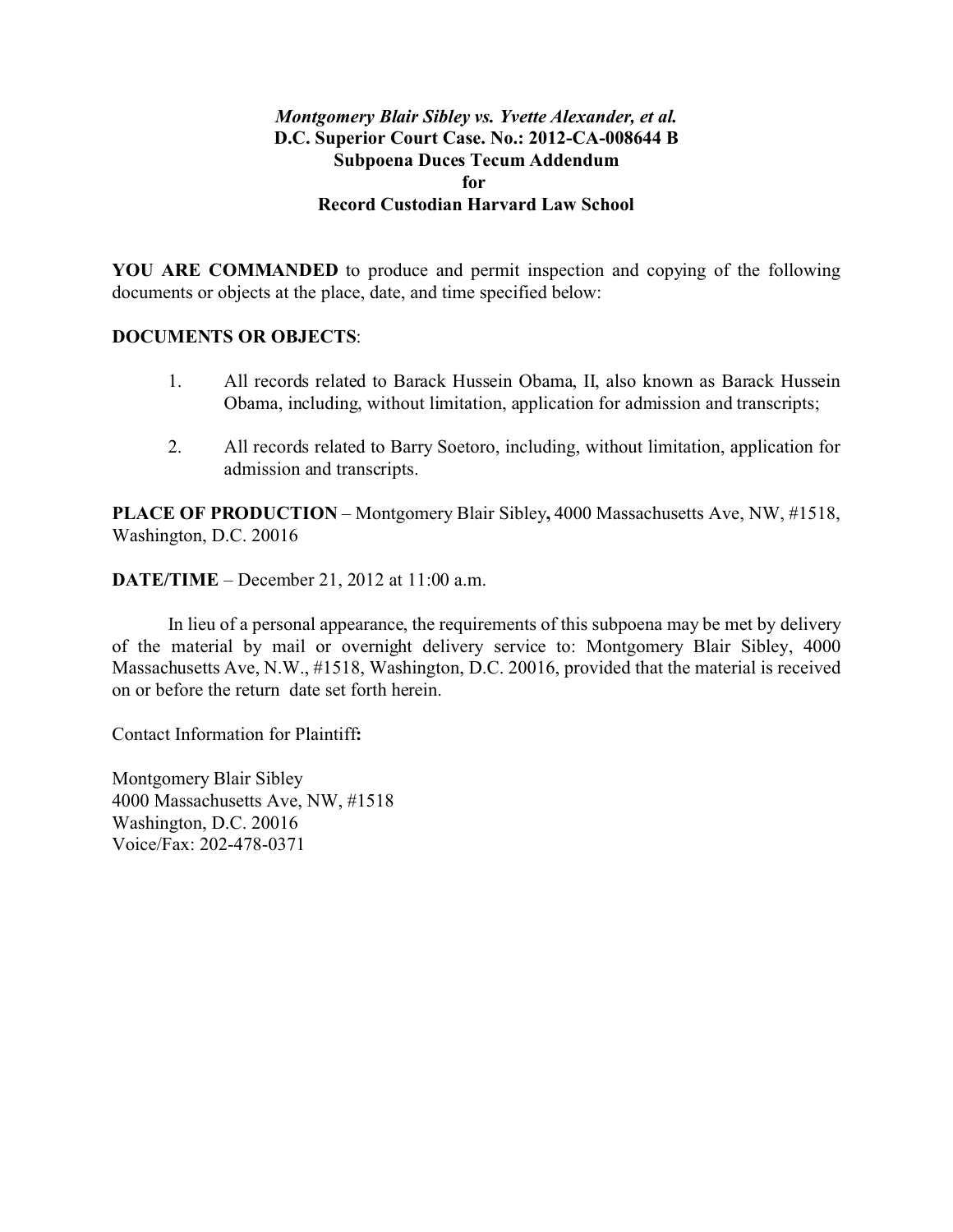# *Montgomery Blair Sibley vs. Yvette Alexander, et al.* **D.C. Superior Court Case. No.: 2012-CA-008644 B Subpoena Duces Tecum Addendum for Record Custodian Harvard Law School**

**YOU ARE COMMANDED** to produce and permit inspection and copying of the following documents or objects at the place, date, and time specified below:

# **DOCUMENTS OR OBJECTS**:

- 1. All records related to Barack Hussein Obama, II, also known as Barack Hussein Obama, including, without limitation, application for admission and transcripts;
- 2. All records related to Barry Soetoro, including, without limitation, application for admission and transcripts.

**PLACE OF PRODUCTION** – Montgomery Blair Sibley**,** 4000 Massachusetts Ave, NW, #1518, Washington, D.C. 20016

**DATE/TIME** – December 21, 2012 at 11:00 a.m.

In lieu of a personal appearance, the requirements of this subpoena may be met by delivery of the material by mail or overnight delivery service to: Montgomery Blair Sibley, 4000 Massachusetts Ave, N.W., #1518, Washington, D.C. 20016, provided that the material is received on or before the return date set forth herein.

Contact Information for Plaintiff**:**

Montgomery Blair Sibley 4000 Massachusetts Ave, NW, #1518 Washington, D.C. 20016 Voice/Fax: 202-478-0371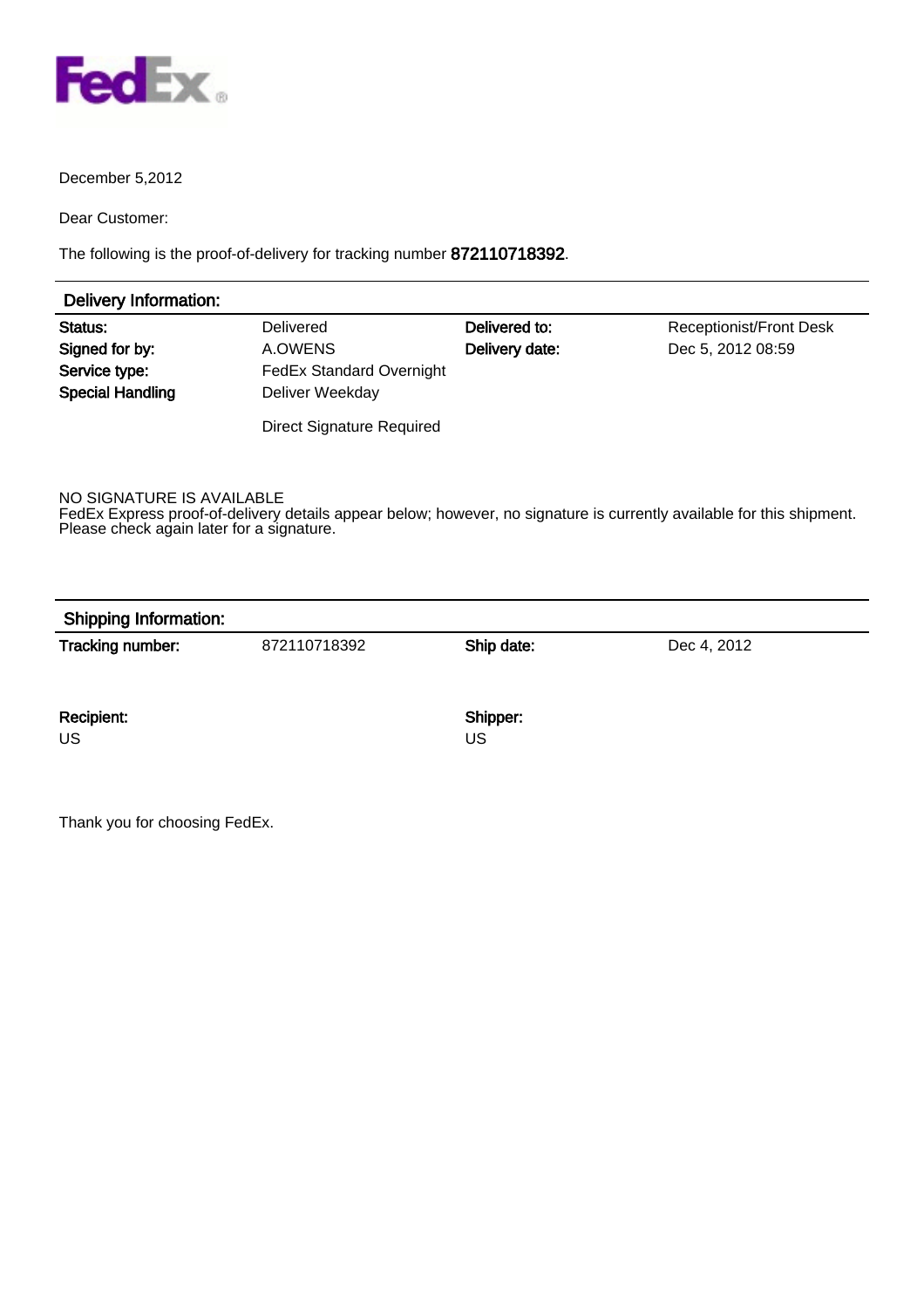

## December 5,2012

Dear Customer:

The following is the proof-of-delivery for tracking number 872110718392.

| Delivery Information:   |                                  |                |                                |
|-------------------------|----------------------------------|----------------|--------------------------------|
| Status:                 | <b>Delivered</b>                 | Delivered to:  | <b>Receptionist/Front Desk</b> |
| Signed for by:          | A.OWENS                          | Delivery date: | Dec 5, 2012 08:59              |
| Service type:           | <b>FedEx Standard Overnight</b>  |                |                                |
| <b>Special Handling</b> | Deliver Weekday                  |                |                                |
|                         | <b>Direct Signature Required</b> |                |                                |

NO SIGNATURE IS AVAILABLE

FedEx Express proof-of-delivery details appear below; however, no signature is currently available for this shipment. Please check again later for a signature.

|  | <b>Shipping Information:</b> |  |
|--|------------------------------|--|
|--|------------------------------|--|

Tracking number: 872110718392 Ship date: Dec 4, 2012

Recipient: Shipper: Shipper: Shipper: Shipper: Shipper: Shipper: Shipper: Shipper: Shipper: Shipper: Shipper: Shipper: Shipper: Shipper: Shipper: Shipper: Shipper: Shipper: Shipper: Shipper: Shipper: Shipper: Shipper: Ship

US US

Thank you for choosing FedEx.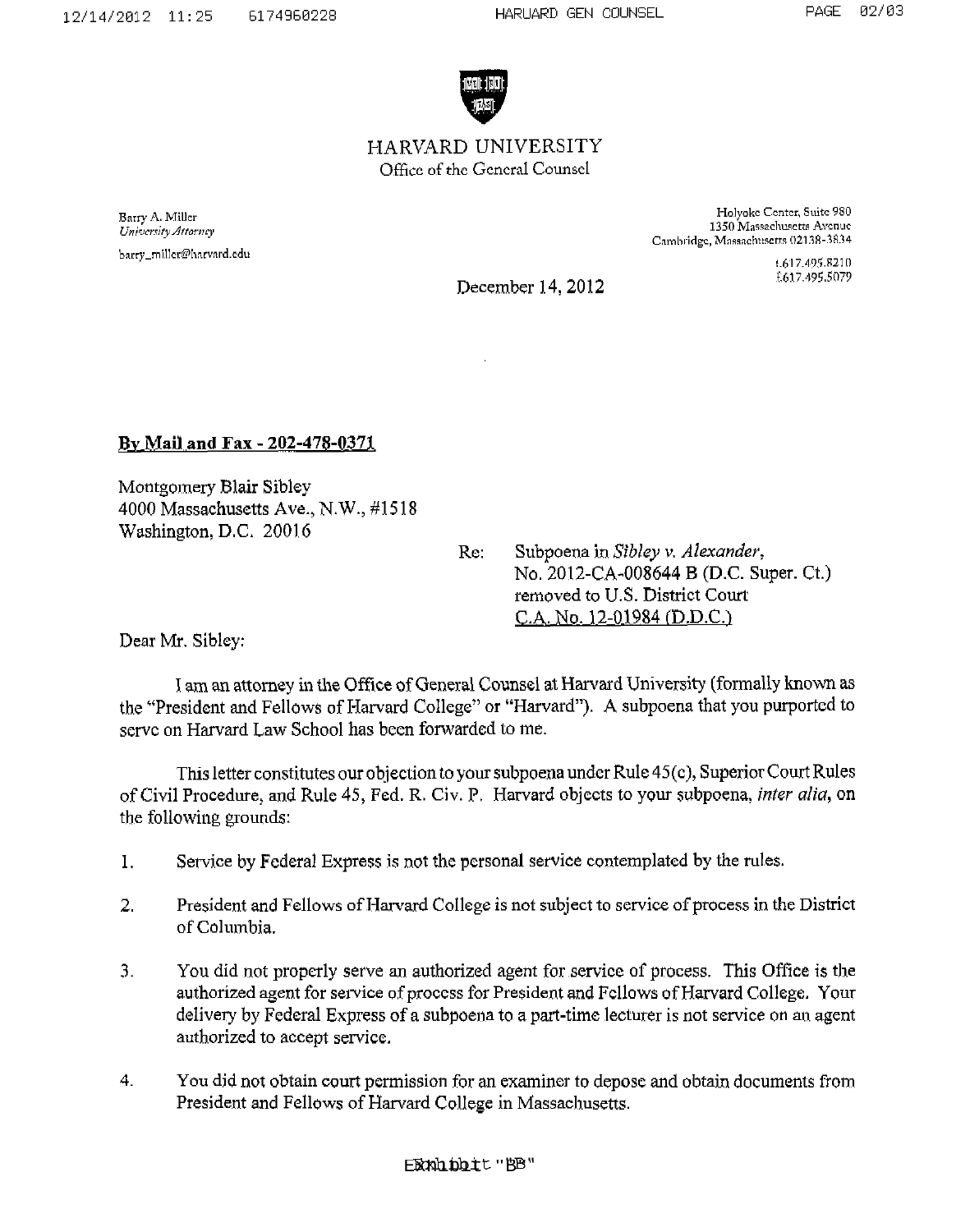

HARVARD UNIVERSITY Officc of rhe Gcncral Counscl

Barry A. Miller University Attorney barry\_miller@harvard.edu

Holyoke Center, Suite 980 1350 Massachusetts Avenue Cambridge, Massachusetts 02138-3834

> 1.617.495.8210 £617.495.5079

December 14,2012

**J3v Mailand Fax** - **202-478-0373,** 

Montgomery Blair Sibley 4000 Massachusetts Ave., N.W., #15 18 Washington, D.C. 20016

Re: Subpoena in Sibley v. Alexander, No. 2012-CA-008644 B (D.C. Super. Ci.) removed to U.S. District Courl C.A. No. 12-01984 [D.D.C.)

Dear Mr. Siblcy:

I am an attorney in the Office of General Counsel at Harvard University (formally known as the "President and Fellows of Harvard College" or "Harvard"). A subpoena that you purported to serve on Harvard Law School has been forwarded to me.

This letter constitutes our objection to your subpoena under Rule 45(c), Superior Court Rules of Civil Procedure, and Rule 45, Fed. R. Civ. P. Harvard objects to your subpoena, *inler alia,* on the following grounds:

- 1. Service by Fcderal Express is not the pcrsonal service contemplated by the rules.
- 2. President and Fellows of Harvard College is not subject to service of process in the District OF Columbia.
- 3. You did not properly serve **an** authorized agent for service of process. This Office **is** the authorized agent for service of proccss for President and Fcllows of Harvard College. Your delivery by Federal Express of a subpoena to a part-time lecturer is not service on an agent authorized to accept servicc.
- 4. You did not obtain court permission for an examiner to depose and obtain documents from President and Fellows of Harvard College in Massachusetts.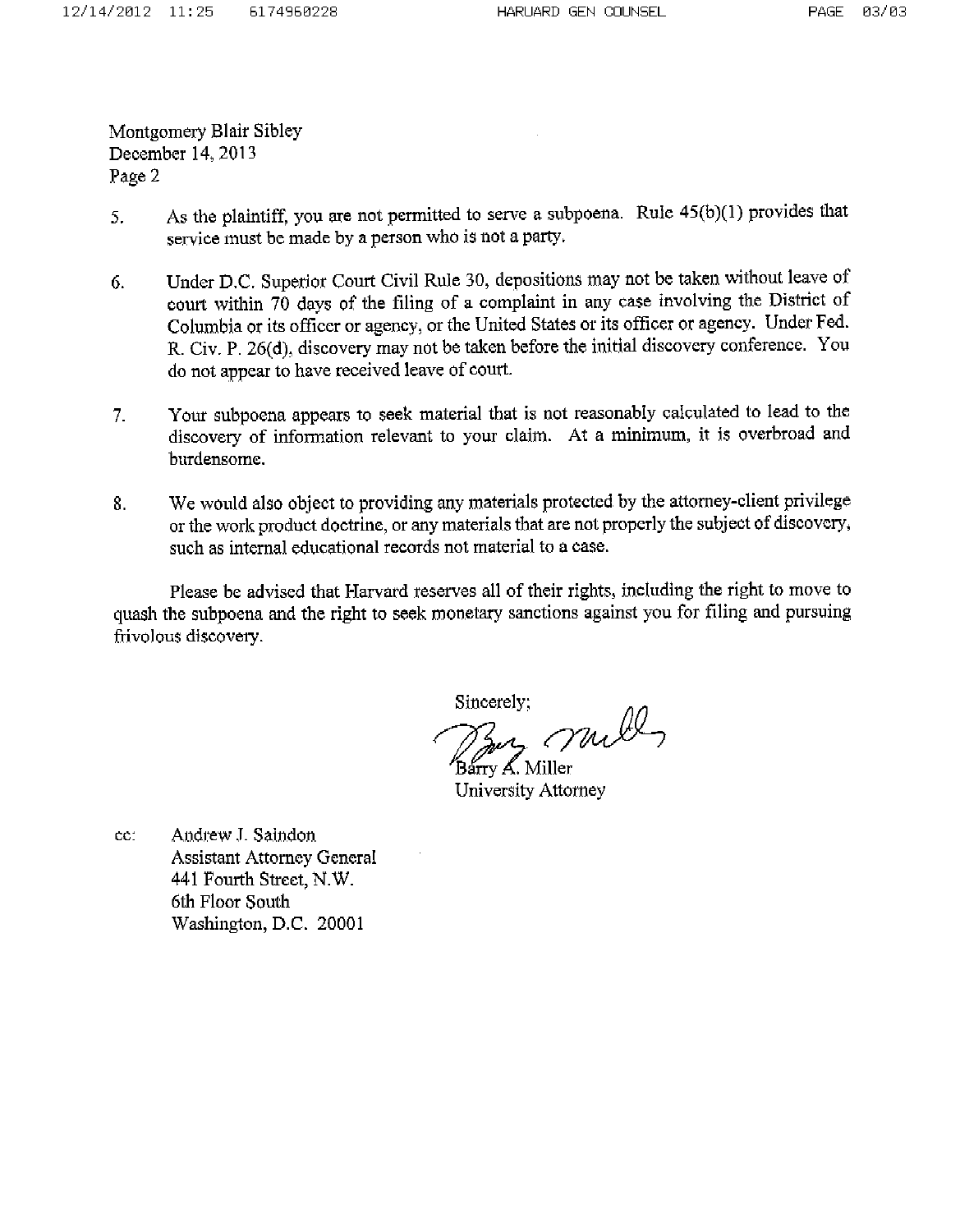Montgomery Blair Sibley December 14, 2013 Page 2

- As the plaintiff, you are not permitted to serve a subpoena. Rule 45(b)(1) provides that 5. service must be made by a person who is not a party.
- Under D.C. Superior Court Civil Rule 30, depositions may not be taken without leave of 6. court within 70 days of the filing of a complaint in any case involving the District of Columbia or its officer or agency, or the United States or its officer or agency. Under Fed. R. Civ. P. 26(d), discovery may not be taken before the initial discovery conference. You do not appear to have received leave of court.
- Your subpoena appears to seek material that is not reasonably calculated to lead to the  $7<sub>1</sub>$ discovery of information relevant to your claim. At a minimum, it is overbroad and burdensome.
- We would also object to providing any materials protected by the attorney-client privilege 8. or the work product doctrine, or any materials that are not properly the subject of discovery, such as internal educational records not material to a case.

Please be advised that Harvard reserves all of their rights, including the right to move to quash the subpoena and the right to seek monetary sanctions against you for filing and pursuing frivolous discovery.

Sincerely:

my mill Barry A. Miller

University Attorney

Andrew J. Saindon cc: **Assistant Attorney General** 441 Fourth Street, N.W. 6th Floor South Washington, D.C. 20001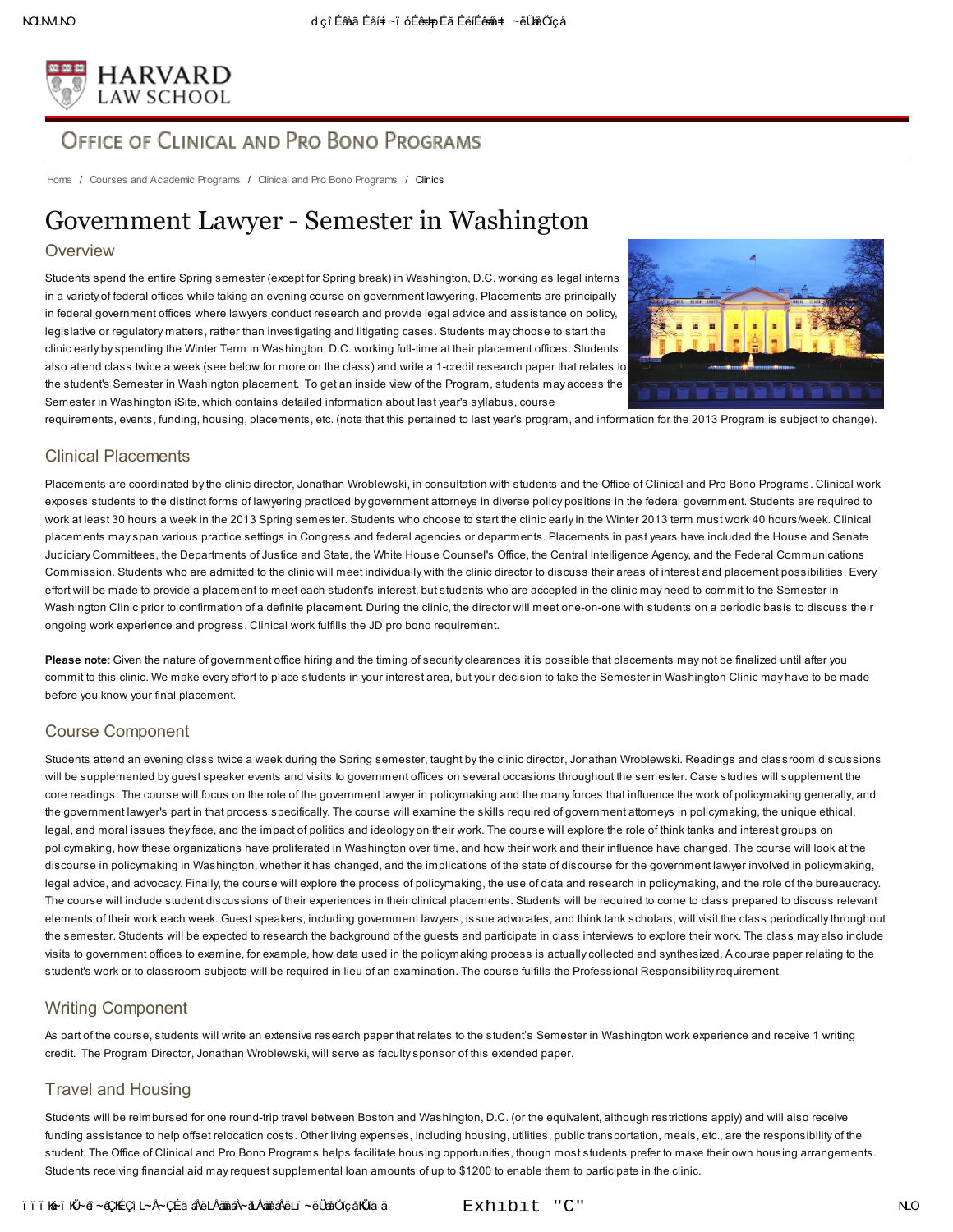

# OFFICE OF CLINICAL AND PRO BONO PROGRAMS

[Home](http://www.law.harvard.edu/index.html) / Courses and [Academic](http://www.law.harvard.edu/academics/index.html) [Programs](http://www.law.harvard.edu/academics/clinical/index.html) / Clinical and Pro Bono Programs / Clinics

# Government Lawyer - Semester in Washington

#### **Overview**

Students spend the entire Spring semester (except for Spring break) in Washington, D.C. working as legal interns in a variety of federal offices while taking an evening course on government lawyering. Placements are principally in federal government offices where lawyers conduct research and provide legal advice and assistance on policy, legislative or regulatory matters, rather than investigating and litigating cases. Students may choose to start the clinic early by spending the Winter Term in Washington, D.C. working full-time at their placement offices. Students also attend class twice a week (see below for more on the class) and write a 1-credit research paper that relates to the student's Semester in [Washington](http://isites.harvard.edu/icb/icb.do?keyword=k72211) placement. To get an inside view of the Program, students may access the Semester in Washington iSite, which contains detailed information about last year's syllabus, course



requirements, events, funding, housing, placements, etc. (note that this pertained to last year's program, and information for the 2013 Program is subject to change).

#### Clinical Placements

Placements are coordinated by the clinic director, Jonathan Wroblewski, in consultation with students and the Office of Clinical and Pro Bono Programs. Clinical work exposes students to the distinct forms of lawyering practiced by government attorneys in diverse policy positions in the federal government. Students are required to work at least 30 hours a week in the 2013 Spring semester. Students who choose to start the clinic early in the Winter 2013 term must work 40 hours/week. Clinical placements may span various practice settings in Congress and federal agencies or departments. Placements in past years have included the House and Senate Judiciary Committees, the Departments of Justice and State, the White House Counsel's Office, the Central Intelligence Agency, and the Federal Communications Commission. Students who are admitted to the clinic will meet individually with the clinic director to discuss their areas of interest and placement possibilities. Every effort will be made to provide a placement to meet each student's interest, but students who are accepted in the clinic may need to commit to the Semester in Washington Clinic prior to confirmation of a definite placement. During the clinic, the director will meet one-on-one with students on a periodic basis to discuss their ongoing work experience and progress. Clinical work fulfills the JD pro bono requirement.

Please note: Given the nature of government office hiring and the timing of security clearances it is possible that placements may not be finalized until after you commit to this clinic. We make every effort to place students in your interest area, but your decision to take the Semester in Washington Clinic may have to be made before you know your final placement.

#### Course Component

Students attend an evening class twice a week during the Spring semester, taught by the clinic director, Jonathan Wroblewski. Readings and classroom discussions will be supplemented by quest speaker events and visits to government offices on several occasions throughout the semester. Case studies will supplement the core readings. The course will focus on the role of the government lawyer in policymaking and the many forces that influence the work of policymaking generally, and the government lawyer's part in that process specifically. The course will examine the skills required of government attorneys in policymaking, the unique ethical, legal, and moral issues they face, and the impact of politics and ideology on their work. The course will explore the role of think tanks and interest groups on policymaking, how these organizations have proliferated in Washington over time, and how their work and their influence have changed. The course will look at the discourse in policymaking in Washington, whether it has changed, and the implications of the state of discourse for the government lawyer involved in policymaking, legal advice, and advocacy. Finally, the course will explore the process of policymaking, the use of data and research in policymaking, and the role of the bureaucracy. The course will include student discussions of their experiences in their clinical placements. Students will be required to come to class prepared to discuss relevant elements of their work each week. Guest speakers, including government lawyers, issue advocates, and think tank scholars, will visit the class periodically throughout the semester. Students will be expected to research the background of the guests and participate in class interviews to explore their work. The class may also include visits to government offices to examine, for example, how data used in the policymaking process is actually collected and synthesized. A course paper relating to the student's work or to classroom subjects will be required in lieu of an examination. The course fulfills the Professional Responsibility requirement.

#### Writing Component

As part of the course, students will write an extensive research paper that relates to the student's Semester in Washington work experience and receive 1 writing credit. The Program Director, Jonathan Wroblewski, will serve as faculty sponsor of this extended paper.

#### Travel and Housing

Students will be reimbursed for one round-trip travel between Boston and Washington, D.C. (or the equivalent, although restrictions apply) and will also receive funding assistance to help offset relocation costs. Other living expenses, including housing, utilities, public transportation, meals, etc., are the responsibility of the student. The Office of Clinical and Pro Bono Programs helps facilitate housing opportunities, though most students prefer to make their own housing arrangements. Students receiving financial aid may request supplemental loan amounts of up to \$1200 to enable them to participate in the clinic.